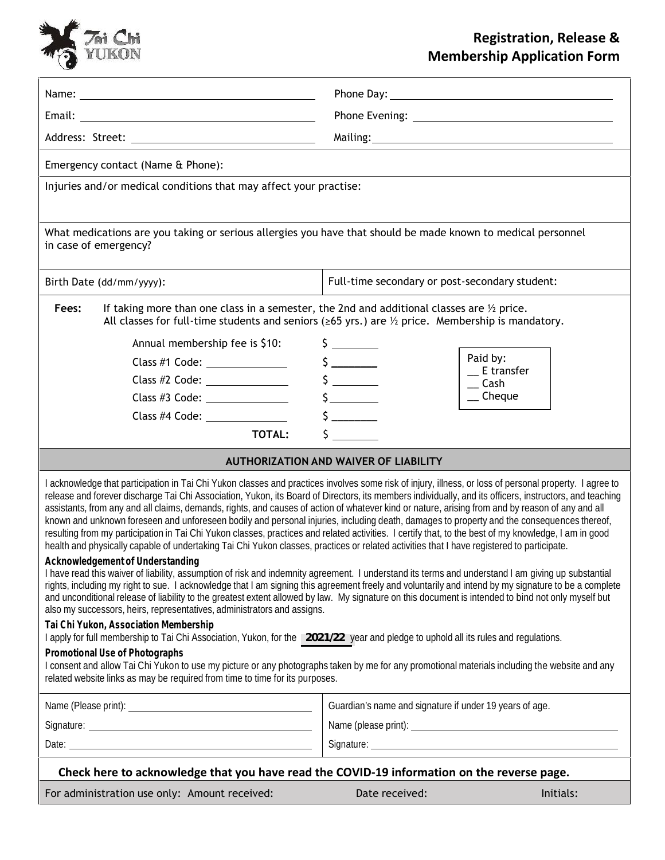

## **Registration, Release & Membership Application Form**

| Emergency contact (Name & Phone):                                                                                                                                                                                                                                                                                                                                                                                                                                                                                                                                                                                                                                                                                                                                                                                                                                                                                           |                                                         |                          |
|-----------------------------------------------------------------------------------------------------------------------------------------------------------------------------------------------------------------------------------------------------------------------------------------------------------------------------------------------------------------------------------------------------------------------------------------------------------------------------------------------------------------------------------------------------------------------------------------------------------------------------------------------------------------------------------------------------------------------------------------------------------------------------------------------------------------------------------------------------------------------------------------------------------------------------|---------------------------------------------------------|--------------------------|
| Injuries and/or medical conditions that may affect your practise:                                                                                                                                                                                                                                                                                                                                                                                                                                                                                                                                                                                                                                                                                                                                                                                                                                                           |                                                         |                          |
|                                                                                                                                                                                                                                                                                                                                                                                                                                                                                                                                                                                                                                                                                                                                                                                                                                                                                                                             |                                                         |                          |
| What medications are you taking or serious allergies you have that should be made known to medical personnel<br>in case of emergency?                                                                                                                                                                                                                                                                                                                                                                                                                                                                                                                                                                                                                                                                                                                                                                                       |                                                         |                          |
| Birth Date (dd/mm/yyyy):                                                                                                                                                                                                                                                                                                                                                                                                                                                                                                                                                                                                                                                                                                                                                                                                                                                                                                    | Full-time secondary or post-secondary student:          |                          |
| If taking more than one class in a semester, the 2nd and additional classes are $\frac{1}{2}$ price.<br>Fees:<br>All classes for full-time students and seniors ( $\geq 65$ yrs.) are $\frac{1}{2}$ price. Membership is mandatory.                                                                                                                                                                                                                                                                                                                                                                                                                                                                                                                                                                                                                                                                                         |                                                         |                          |
| Annual membership fee is \$10:                                                                                                                                                                                                                                                                                                                                                                                                                                                                                                                                                                                                                                                                                                                                                                                                                                                                                              |                                                         |                          |
|                                                                                                                                                                                                                                                                                                                                                                                                                                                                                                                                                                                                                                                                                                                                                                                                                                                                                                                             | $\frac{1}{2}$                                           | Paid by:<br>$E$ transfer |
| Class #2 Code: ________________                                                                                                                                                                                                                                                                                                                                                                                                                                                                                                                                                                                                                                                                                                                                                                                                                                                                                             | $\frac{1}{2}$                                           | $\equiv$ Cash            |
| Class #3 Code: _______________                                                                                                                                                                                                                                                                                                                                                                                                                                                                                                                                                                                                                                                                                                                                                                                                                                                                                              | $\frac{1}{2}$                                           | $\equiv$ Cheque          |
| Class #4 Code:                                                                                                                                                                                                                                                                                                                                                                                                                                                                                                                                                                                                                                                                                                                                                                                                                                                                                                              |                                                         |                          |
| <b>TOTAL:</b>                                                                                                                                                                                                                                                                                                                                                                                                                                                                                                                                                                                                                                                                                                                                                                                                                                                                                                               |                                                         |                          |
| <b>AUTHORIZATION AND WAIVER OF LIABILITY</b>                                                                                                                                                                                                                                                                                                                                                                                                                                                                                                                                                                                                                                                                                                                                                                                                                                                                                |                                                         |                          |
| I acknowledge that participation in Tai Chi Yukon classes and practices involves some risk of injury, illness, or loss of personal property. I agree to<br>release and forever discharge Tai Chi Association, Yukon, its Board of Directors, its members individually, and its officers, instructors, and teaching<br>assistants, from any and all claims, demands, rights, and causes of action of whatever kind or nature, arising from and by reason of any and all<br>known and unknown foreseen and unforeseen bodily and personal injuries, including death, damages to property and the consequences thereof,<br>resulting from my participation in Tai Chi Yukon classes, practices and related activities. I certify that, to the best of my knowledge, I am in good<br>health and physically capable of undertaking Tai Chi Yukon classes, practices or related activities that I have registered to participate. |                                                         |                          |
| Acknowledgement of Understanding<br>I have read this waiver of liability, assumption of risk and indemnity agreement. I understand its terms and understand I am giving up substantial<br>rights, including my right to sue. I acknowledge that I am signing this agreement freely and voluntarily and intend by my signature to be a complete<br>and unconditional release of liability to the greatest extent allowed by law. My signature on this document is intended to bind not only myself but<br>also my successors, heirs, representatives, administrators and assigns.                                                                                                                                                                                                                                                                                                                                            |                                                         |                          |
| Tai Chi Yukon, Association Membership<br>I apply for full membership to Tai Chi Association, Yukon, for the 2021/22 year and pledge to uphold all its rules and regulations.                                                                                                                                                                                                                                                                                                                                                                                                                                                                                                                                                                                                                                                                                                                                                |                                                         |                          |
| Promotional Use of Photographs<br>I consent and allow Tai Chi Yukon to use my picture or any photographs taken by me for any promotional materials including the website and any<br>related website links as may be required from time to time for its purposes.                                                                                                                                                                                                                                                                                                                                                                                                                                                                                                                                                                                                                                                            |                                                         |                          |
|                                                                                                                                                                                                                                                                                                                                                                                                                                                                                                                                                                                                                                                                                                                                                                                                                                                                                                                             | Guardian's name and signature if under 19 years of age. |                          |
|                                                                                                                                                                                                                                                                                                                                                                                                                                                                                                                                                                                                                                                                                                                                                                                                                                                                                                                             |                                                         |                          |
|                                                                                                                                                                                                                                                                                                                                                                                                                                                                                                                                                                                                                                                                                                                                                                                                                                                                                                                             |                                                         |                          |
| Check here to acknowledge that you have read the COVID-19 information on the reverse page.                                                                                                                                                                                                                                                                                                                                                                                                                                                                                                                                                                                                                                                                                                                                                                                                                                  |                                                         |                          |
| For administration use only: Amount received:                                                                                                                                                                                                                                                                                                                                                                                                                                                                                                                                                                                                                                                                                                                                                                                                                                                                               | Date received:                                          | Initials:                |